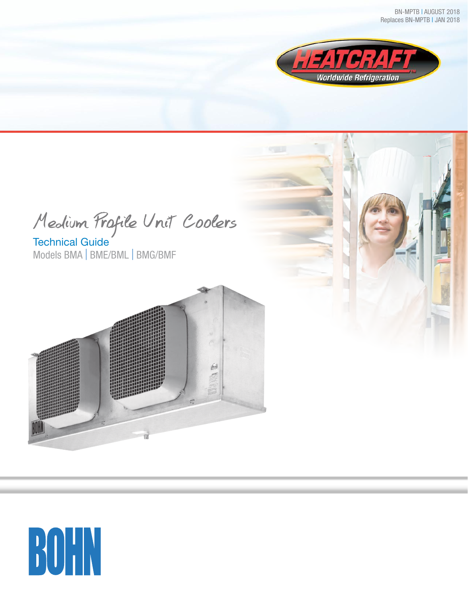

Medium Profile Unit Coolers

Technical Guide Models BMA | BME/BML | BMG/BMF



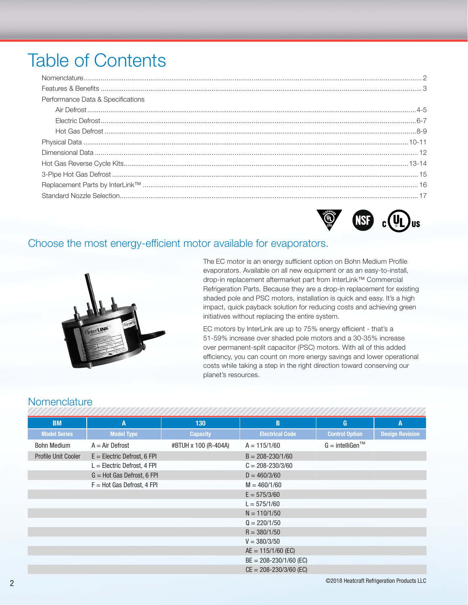## **Table of Contents**

| Performance Data & Specifications |  |
|-----------------------------------|--|
|                                   |  |
|                                   |  |
|                                   |  |
|                                   |  |
|                                   |  |
|                                   |  |
|                                   |  |
|                                   |  |
|                                   |  |
|                                   |  |



#### Choose the most energy-efficient motor available for evaporators.



The EC motor is an energy sufficient option on Bohn Medium Profile evaporators. Available on all new equipment or as an easy-to-install, drop-in replacement aftermarket part from InterLink™ Commercial Refrigeration Parts. Because they are a drop-in replacement for existing shaded pole and PSC motors, installation is quick and easy. It's a high impact, quick payback solution for reducing costs and achieving green initiatives without replacing the entire system.

EC motors by InterLink are up to 75% energy efficient - that's a 51-59% increase over shaded pole motors and a 30-35% increase over permanent-split capacitor (PSC) motors. With all of this added efficiency, you can count on more energy savings and lower operational costs while taking a step in the right direction toward conserving our planet's resources.

#### Nomenclature

| <b>BM</b>           | Α                             | 130                  | B                          | G                                           | A                      |
|---------------------|-------------------------------|----------------------|----------------------------|---------------------------------------------|------------------------|
| <b>Model Series</b> | <b>Model Type</b>             | <b>Capacity</b>      | <b>Electrical Code</b>     | <b>Control Option</b>                       | <b>Design Revision</b> |
| <b>Bohn Medium</b>  | $A = Air$ Defrost             | #BTUH x 100 (R-404A) | $A = 115/1/60$             | $G =$ intelligen <sup><math>TM</math></sup> |                        |
| Profile Unit Cooler | $E =$ Electric Defrost, 6 FPI |                      | $B = 208 - 230/1/60$       |                                             |                        |
|                     | $L =$ Electric Defrost, 4 FPI |                      | $C = 208 - 230/3/60$       |                                             |                        |
|                     | $G = Hot Gas Defrost, 6 FPI$  |                      | $D = 460/3/60$             |                                             |                        |
|                     | $F = Hot Gas Defrost, 4 FPI$  |                      | $M = 460/1/60$             |                                             |                        |
|                     |                               |                      | $E = 575/3/60$             |                                             |                        |
|                     |                               |                      | $L = 575/1/60$             |                                             |                        |
|                     |                               |                      | $N = 110/1/50$             |                                             |                        |
|                     |                               |                      | $Q = 220/1/50$             |                                             |                        |
|                     |                               |                      | $R = 380/1/50$             |                                             |                        |
|                     |                               |                      | $V = 380/3/50$             |                                             |                        |
|                     |                               |                      | $AE = 115/1/60$ (EC)       |                                             |                        |
|                     |                               |                      | $BE = 208 - 230/1/60$ (EC) |                                             |                        |
|                     |                               |                      | $CE = 208 - 230/3/60$ (EC) |                                             |                        |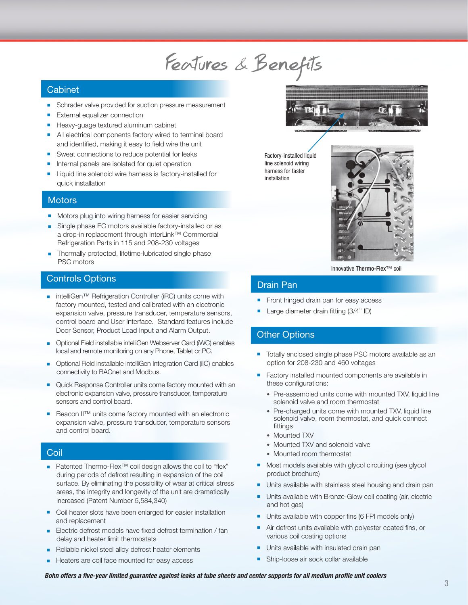# Features & Benefits

#### **Cabinet**

- **EXECUTE:** Schrader valve provided for suction pressure measurement
- External equalizer connection
- Heavy-guage textured aluminum cabinet
- All electrical components factory wired to terminal board and identified, making it easy to field wire the unit
- Sweat connections to reduce potential for leaks
- **n** Internal panels are isolated for quiet operation
- Liquid line solenoid wire harness is factory-installed for quick installation

#### **Motors**

- **n** Motors plug into wiring harness for easier servicing
- Single phase EC motors available factory-installed or as a drop-in replacement through InterLink™ Commercial Refrigeration Parts in 115 and 208-230 voltages
- **n** Thermally protected, lifetime-lubricated single phase PSC motors

#### Controls Options

- intelliGen™ Refrigeration Controller (iRC) units come with factory mounted, tested and calibrated with an electronic expansion valve, pressure transducer, temperature sensors, control board and User Interface. Standard features include Door Sensor, Product Load Input and Alarm Output.
- **n** Optional Field installable intelliGen Webserver Card (iWC) enables local and remote monitoring on any Phone, Tablet or PC.
- **n** Optional Field installable intelliGen Integration Card (iIC) enables connectivity to BACnet and Modbus.
- Quick Response Controller units come factory mounted with an electronic expansion valve, pressure transducer, temperature sensors and control board.
- Beacon II™ units come factory mounted with an electronic expansion valve, pressure transducer, temperature sensors and control board.

#### **Coil**

- Patented Thermo-Flex<sup>™</sup> coil design allows the coil to "flex" during periods of defrost resulting in expansion of the coil surface. By eliminating the possibility of wear at critical stress areas, the integrity and longevity of the unit are dramatically increased (Patent Number 5,584,340)
- Coil heater slots have been enlarged for easier installation and replacement
- Electric defrost models have fixed defrost termination / fan delay and heater limit thermostats
- Reliable nickel steel alloy defrost heater elements
- Heaters are coil face mounted for easy access



Factory-installed liquid line solenoid wiring harness for faster installation



Innovative Thermo-Flex™ coil

#### Drain Pan

- Front hinged drain pan for easy access
- Large diameter drain fitting (3/4" ID)

#### Other Options

- Totally enclosed single phase PSC motors available as an option for 208-230 and 460 voltages
- Factory installed mounted components are available in these configurations:
	- Pre-assembled units come with mounted TXV, liquid line solenoid valve and room thermostat
	- Pre-charged units come with mounted TXV, liquid line solenoid valve, room thermostat, and quick connect fittings
	- Mounted TXV
	- Mounted TXV and solenoid valve
	- Mounted room thermostat
- **n** Most models available with glycol circuiting (see glycol product brochure)
- **Dimeta** Units available with stainless steel housing and drain pan
- **n** Units available with Bronze-Glow coil coating (air, electric and hot gas)
- **n** Units available with copper fins (6 FPI models only)
- **n** Air defrost units available with polyester coated fins, or various coil coating options
- **n** Units available with insulated drain pan
- **n** Ship-loose air sock collar available

*Bohn offers a five-year limited guarantee against leaks at tube sheets and center supports for all medium profile unit coolers*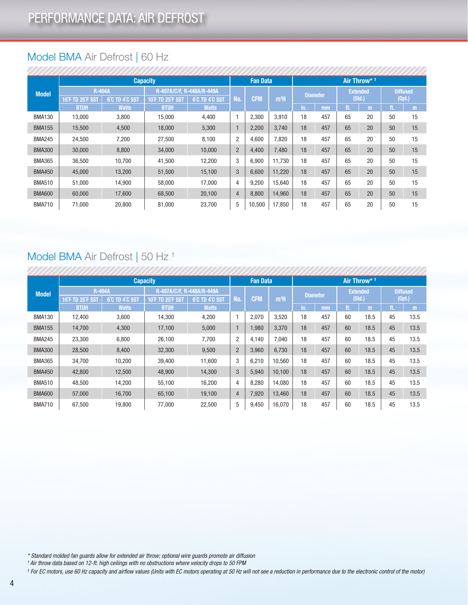### Model BMA Air Defrost | 60 Hz

|               |                         |                | <b>Capacity</b>           |                |                | <b>Fan Data</b> |                  |     |                 |     | Air Throw* <sup>+</sup> |     |                 |
|---------------|-------------------------|----------------|---------------------------|----------------|----------------|-----------------|------------------|-----|-----------------|-----|-------------------------|-----|-----------------|
| <b>Model</b>  | <b>R-404A</b>           |                | R-407A/C/F, R-448A/R-449A |                |                |                 |                  |     | <b>Diameter</b> |     | <b>Extended</b>         |     | <b>Diffused</b> |
|               | <b>10°F TD 25°F SST</b> | 6°C TD 4°C SST | 10 F TD 25 F SST          | 6°C TD 4°C SST | No.            | <b>CFM</b>      | m <sup>3</sup> H |     |                 |     | (Std.)                  |     | (0pt.)          |
|               | <b>BTUH</b>             | <b>Watts</b>   | <b>BTUH</b>               | <b>Watts</b>   |                |                 |                  | in. | mm              | ft. | m                       | ft. | m               |
| <b>BMA130</b> | 13.000                  | 3,800          | 15.000                    | 4,400          |                | 2,300           | 3,910            | 18  | 457             | 65  | 20                      | 50  | 15              |
| <b>BMA155</b> | 15,500                  | 4,500          | 18,000                    | 5,300          |                | 2,200           | 3.740            | 18  | 457             | 65  | 20                      | 50  | 15              |
| <b>BMA245</b> | 24,500                  | 7,200          | 27,500                    | 8,100          | 2              | 4,600           | 7,820            | 18  | 457             | 65  | 20                      | 50  | 15              |
| <b>BMA300</b> | 30,000                  | 8,800          | 34,000                    | 10,000         | $\overline{2}$ | 4,400           | 7,480            | 18  | 457             | 65  | 20                      | 50  | 15              |
| <b>BMA365</b> | 36,500                  | 10.700         | 41,500                    | 12,200         | 3              | 6,900           | 11.730           | 18  | 457             | 65  | 20                      | 50  | 15              |
| <b>BMA450</b> | 45,000                  | 13,200         | 51,500                    | 15,100         | 3              | 6,600           | 11,220           | 18  | 457             | 65  | 20                      | 50  | 15              |
| <b>BMA510</b> | 51,000                  | 14,900         | 58,000                    | 17,000         | 4              | 9,200           | 15,640           | 18  | 457             | 65  | 20                      | 50  | 15              |
| <b>BMA600</b> | 60,000                  | 17,600         | 68,500                    | 20,100         | $\overline{4}$ | 8,800           | 14.960           | 18  | 457             | 65  | 20                      | 50  | 15              |
| <b>BMA710</b> | 71,000                  | 20,800         | 81,000                    | 23,700         | 5              | 10,500          | 17,850           | 18  | 457             | 65  | 20                      | 50  | 15              |

### Model BMA Air Defrost | 50 Hz †

|               | <b>Capacity</b>         |                |                           |                |                |                 |                  |                 |     |     |                         |     |                 |  |  |
|---------------|-------------------------|----------------|---------------------------|----------------|----------------|-----------------|------------------|-----------------|-----|-----|-------------------------|-----|-----------------|--|--|
|               |                         |                |                           |                |                | <b>Fan Data</b> |                  |                 |     |     | Air Throw* <sup>+</sup> |     |                 |  |  |
| <b>Model</b>  | <b>R-404A</b>           |                | R-407A/C/F, R-448A/R-449A |                |                |                 |                  | <b>Diameter</b> |     |     | <b>Extended</b>         |     | <b>Diffused</b> |  |  |
|               | <b>10°F TD 25°F SST</b> | 6°C TD 4°C SST | <b>10°F TD 25°F SST</b>   | 6°C TD 4°C SST | No.            | <b>CFM</b>      | m <sup>3</sup> H |                 |     |     | (Std.)                  |     | (0pt.)          |  |  |
|               | <b>BTUH</b>             | <b>Watts</b>   | <b>BTUH</b>               | <b>Watts</b>   |                |                 |                  | (in)            | mm  | ft. | m                       | ft. | m               |  |  |
| <b>BMA130</b> | 12,400                  | 3,600          | 14,300                    | 4,200          |                | 2,070           | 3,520            | 18              | 457 | 60  | 18.5                    | 45  | 13.5            |  |  |
| <b>BMA155</b> | 14,700                  | 4,300          | 17,100                    | 5,000          |                | 1,980           | 3,370            | 18              | 457 | 60  | 18.5                    | 45  | 13.5            |  |  |
| <b>BMA245</b> | 23,300                  | 6,800          | 26,100                    | 7,700          | $\overline{2}$ | 4,140           | 7,040            | 18              | 457 | 60  | 18.5                    | 45  | 13.5            |  |  |
| <b>BMA300</b> | 28,500                  | 8,400          | 32,300                    | 9,500          | $\overline{2}$ | 3,960           | 6,730            | 18              | 457 | 60  | 18.5                    | 45  | 13.5            |  |  |
| <b>BMA365</b> | 34,700                  | 10,200         | 39,400                    | 11,600         | 3              | 6,210           | 10.560           | 18              | 457 | 60  | 18.5                    | 45  | 13.5            |  |  |
| <b>BMA450</b> | 42,800                  | 12,500         | 48,900                    | 14,300         | 3              | 5,940           | 10,100           | 18              | 457 | 60  | 18.5                    | 45  | 13.5            |  |  |
| <b>BMA510</b> | 48.500                  | 14,200         | 55,100                    | 16,200         | 4              | 8,280           | 14.080           | 18              | 457 | 60  | 18.5                    | 45  | 13.5            |  |  |
| <b>BMA600</b> | 57,000                  | 16,700         | 65,100                    | 19,100         | $\overline{4}$ | 7,920           | 13,460           | 18              | 457 | 60  | 18.5                    | 45  | 13.5            |  |  |
| <b>BMA710</b> | 67.500                  | 19.800         | 77,000                    | 22,500         | 5              | 9,450           | 16,070           | 18              | 457 | 60  | 18.5                    | 45  | 13.5            |  |  |

*\* Standard molded fan guards allow for extended air throw; optional wire guards promote air diffusion*

*† Air throw data based on 12-ft. high ceilings with no obstructions where velocity drops to 50 FPM*

*‡ For EC motors, use 60 Hz capacity and airflow values (Units with EC motors operating at 50 Hz will not see a reduction in performance due to the electronic control of the motor)*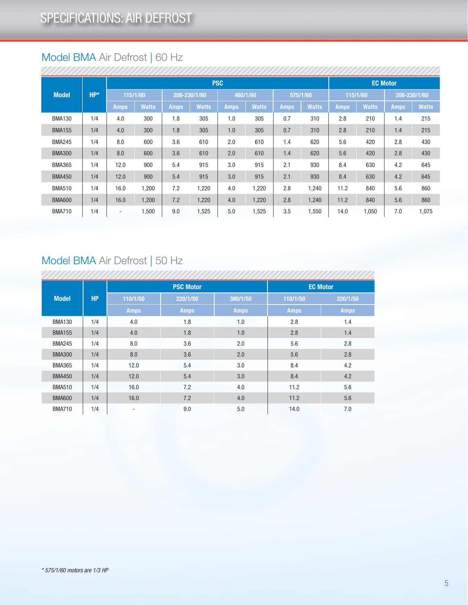### Model BMA Air Defrost | 60 Hz

|  |               |        |             |              |             |              | <b>PSC</b>  |              |             |              |             |              | <b>EC Motor</b> |              |  |
|--|---------------|--------|-------------|--------------|-------------|--------------|-------------|--------------|-------------|--------------|-------------|--------------|-----------------|--------------|--|
|  | <b>Model</b>  | $HP^*$ |             | 115/1/60     |             | 208-230/1/60 |             | 460/1/60     | 575/1/60    |              |             | 115/1/60     | 208-230/1/60    |              |  |
|  |               |        | <b>Amps</b> | <b>Watts</b> | <b>Amps</b> | <b>Watts</b> | <b>Amps</b> | <b>Watts</b> | <b>Amps</b> | <b>Watts</b> | <b>Amps</b> | <b>Watts</b> | <b>Amps</b>     | <b>Watts</b> |  |
|  | <b>BMA130</b> | 1/4    | 4.0         | 300          | 1.8         | 305          | 1.0         | 305          | 0.7         | 310          | 2.8         | 210          | 1.4             | 215          |  |
|  | <b>BMA155</b> | 1/4    | 4.0         | 300          | 1.8         | 305          | 1.0         | 305          | 0.7         | 310          | 2.8         | 210          | 1.4             | 215          |  |
|  | <b>BMA245</b> | 1/4    | 8.0         | 600          | 3.6         | 610          | 2.0         | 610          | 1.4         | 620          | 5.6         | 420          | 2.8             | 430          |  |
|  | <b>BMA300</b> | 1/4    | 8.0         | 600          | 3.6         | 610          | 2.0         | 610          | 1.4         | 620          | 5.6         | 420          | 2.8             | 430          |  |
|  | <b>BMA365</b> | 1/4    | 12.0        | 900          | 5.4         | 915          | 3.0         | 915          | 2.1         | 930          | 8.4         | 630          | 4.2             | 645          |  |
|  | <b>BMA450</b> | 1/4    | 12.0        | 900          | 5.4         | 915          | 3.0         | 915          | 2.1         | 930          | 8.4         | 630          | 4.2             | 645          |  |
|  | <b>BMA510</b> | 1/4    | 16.0        | 1,200        | 7.2         | 1,220        | 4.0         | 1,220        | 2.8         | 1,240        | 11.2        | 840          | 5.6             | 860          |  |
|  | <b>BMA600</b> | 1/4    | 16.0        | 1,200        | 7.2         | 1,220        | 4.0         | 1,220        | 2.8         | 1,240        | 11.2        | 840          | 5.6             | 860          |  |
|  | <b>BMA710</b> | 1/4    | ٠           | 1,500        | 9.0         | 1,525        | 5.0         | 1,525        | 3.5         | 1,550        | 14.0        | 1,050        | 7.0             | 1,075        |  |

### Model BMA Air Defrost | 50 Hz

|               |           |             | <b>PSC Motor</b> |             |             | <b>EC Motor</b> |
|---------------|-----------|-------------|------------------|-------------|-------------|-----------------|
| <b>Model</b>  | <b>HP</b> | 110/1/50    | 220/1/50         | 380/1/50    | 110/1/50    | 220/1/50        |
|               |           | <b>Amps</b> | <b>Amps</b>      | <b>Amps</b> | <b>Amps</b> | <b>Amps</b>     |
| <b>BMA130</b> | 1/4       | 4.0         | 1.8              | 1.0         | 2.8         | 1.4             |
| <b>BMA155</b> | 1/4       | 4.0         | 1.8              | 1.0         | 2.8         | 1.4             |
| <b>BMA245</b> | 1/4       | 8.0         | 3.6              | 2.0         | 5.6         | 2.8             |
| <b>BMA300</b> | 1/4       | 8.0         | 3.6              | 2.0         | 5.6         | 2.8             |
| <b>BMA365</b> | 1/4       | 12.0        | 5.4              | 3.0         | 8.4         | 4.2             |
| <b>BMA450</b> | 1/4       | 12.0        | 5.4              | 3.0         | 8.4         | 4.2             |
| <b>BMA510</b> | 1/4       | 16.0        | 7.2              | 4.0         | 11.2        | 5.6             |
| <b>BMA600</b> | 1/4       | 16.0        | 7.2              | 4.0         | 11.2        | 5.6             |
| <b>BMA710</b> | 1/4       | ٠           | 9.0              | 5.0         | 14.0        | 7.0             |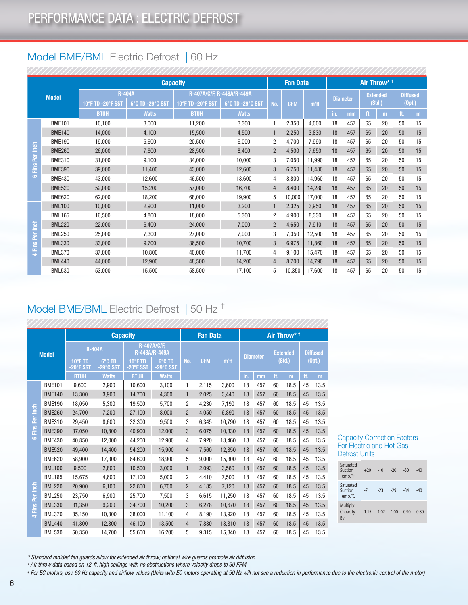### Model BME/BML Electric Defrost | 60 Hz

|                                 |               |                   |                  | <b>Capacity</b>           |                  |                | <b>Fan Data</b> |                  |     |                 |        | Air Throw* <sup>+</sup> |                 |    |
|---------------------------------|---------------|-------------------|------------------|---------------------------|------------------|----------------|-----------------|------------------|-----|-----------------|--------|-------------------------|-----------------|----|
|                                 | <b>Model</b>  |                   | <b>R-404A</b>    | R-407A/C/F, R-448A/R-449A |                  |                |                 |                  |     |                 |        | <b>Extended</b>         | <b>Diffused</b> |    |
|                                 |               | 10°F TD -20°F SS1 | 6°C TD -29°C SST | 10°F TD -20°F SST         | 6°C TD -29°C SST | No.            | <b>CFM</b>      | m <sup>3</sup> H |     | <b>Diameter</b> | (Std.) |                         | (Opt.)          |    |
|                                 |               | <b>BTUH</b>       | <b>Watts</b>     | <b>BTUH</b>               | <b>Watts</b>     |                |                 |                  | in. | mm              | ft.    | m                       | ft.             | m  |
|                                 | <b>BME101</b> | 10,100            | 3,000            | 11,200                    | 3,300            | 1              | 2,350           | 4.000            | 18  | 457             | 65     | 20                      | 50              | 15 |
|                                 | <b>BME140</b> | 14,000            | 4,100            | 15,500                    | 4,500            | $\mathbf{1}$   | 2,250           | 3,830            | 18  | 457             | 65     | 20                      | 50              | 15 |
|                                 | <b>BME190</b> | 19,000            | 5,600            | 20,500                    | 6,000            | 2              | 4,700           | 7,990            | 18  | 457             | 65     | 20                      | 50              | 15 |
|                                 | <b>BME260</b> | 26,000            | 7,600            | 28,500                    | 8,400            | $\overline{2}$ | 4,500           | 7,650            | 18  | 457             | 65     | 20                      | 50              | 15 |
|                                 | <b>BME310</b> | 31,000            | 9,100            | 34,000                    | 10,000           | 3              | 7,050           | 11,990           | 18  | 457             | 65     | 20                      | 50              | 15 |
| Fins Per Inch<br>$\ddot{\circ}$ | <b>BME390</b> | 39,000            | 11.400           | 43.000                    | 12,600           | 3              | 6,750           | 11,480           | 18  | 457             | 65     | 20                      | 50              | 15 |
|                                 | <b>BME430</b> | 43,000            | 12,600           | 46,500                    | 13,600           | 4              | 8,800           | 14.960           | 18  | 457             | 65     | 20                      | 50              | 15 |
|                                 | <b>BME520</b> | 52,000            | 15,200           | 57,000                    | 16,700           | 4              | 8,400           | 14,280           | 18  | 457             | 65     | 20                      | 50              | 15 |
|                                 | <b>BME620</b> | 62,000            | 18,200           | 68,000                    | 19,900           | 5              | 10,000          | 17,000           | 18  | 457             | 65     | 20                      | 50              | 15 |
|                                 | <b>BML100</b> | 10,000            | 2,900            | 11,000                    | 3,200            | $\mathbf{1}$   | 2,325           | 3,950            | 18  | 457             | 65     | 20                      | 50              | 15 |
|                                 | <b>BML165</b> | 16,500            | 4,800            | 18,000                    | 5,300            | $\overline{2}$ | 4,900           | 8,330            | 18  | 457             | 65     | 20                      | 50              | 15 |
|                                 | <b>BML220</b> | 22.000            | 6,400            | 24,000                    | 7,000            | $\overline{2}$ | 4,650           | 7,910            | 18  | 457             | 65     | 20                      | 50              | 15 |
|                                 | <b>BML250</b> | 25,000            | 7,300            | 27,000                    | 7,900            | 3              | 7,350           | 12,500           | 18  | 457             | 65     | 20                      | 50              | 15 |
| Fins Per Inch                   | <b>BML330</b> | 33,000            | 9,700            | 36,500                    | 10,700           | 3              | 6,975           | 11,860           | 18  | 457             | 65     | 20                      | 50              | 15 |
| $\Rightarrow$                   | <b>BML370</b> | 37,000            | 10,800           | 40,000                    | 11,700           | 4              | 9,100           | 15,470           | 18  | 457             | 65     | 20                      | 50              | 15 |
|                                 | <b>BML440</b> | 44.000            | 12,900           | 48,500                    | 14,200           | 4              | 8,700           | 14,790           | 18  | 457             | 65     | 20                      | 50              | 15 |
|                                 | <b>BML530</b> | 53,000            | 15,500           | 58,500                    | 17,100           | 5              | 10.350          | 17.600           | 18  | 457             | 65     | 20                      | 50              | 15 |

#### Model BME/BML Electric Defrost | 50 Hz † ,,,,,,,,,,,,,,,,,

|                               |               |                      |                     | <b>Capacity</b>      |                              |                | <b>Fan Data</b> |                  |     |                 |     | Air Throw* <sup>+</sup> |     |                 |
|-------------------------------|---------------|----------------------|---------------------|----------------------|------------------------------|----------------|-----------------|------------------|-----|-----------------|-----|-------------------------|-----|-----------------|
|                               | <b>Model</b>  |                      | <b>R-404A</b>       |                      | R-407A/C/F,<br>R-448A/R-449A |                |                 |                  |     | <b>Diameter</b> |     | <b>Extended</b>         |     | <b>Diffused</b> |
|                               |               | 10°F TD<br>-20°F SST | 6°C TD<br>-29°C SST | 10°F TD<br>-20°F SST | 6°C TD<br>$-29^\circ$ C SST  | No.            | <b>CFM</b>      | m <sup>3</sup> H |     |                 |     | (Std.)                  |     | (0pt.)          |
|                               |               | <b>BTUH</b>          | <b>Watts</b>        | <b>BTUH</b>          | <b>Watts</b>                 |                |                 |                  | in. | mm              | ft. | m                       | ft. | m               |
|                               | <b>BME101</b> | 9,600                | 2,900               | 10,600               | 3,100                        | 1              | 2,115           | 3,600            | 18  | 457             | 60  | 18.5                    | 45  | 13.5            |
|                               | <b>BME140</b> | 13,300               | 3,900               | 14,700               | 4,300                        | 1              | 2,025           | 3,440            | 18  | 457             | 60  | 18.5                    | 45  | 13.5            |
|                               | <b>BME190</b> | 18,050               | 5,300               | 19,500               | 5,700                        | $\overline{2}$ | 4,230           | 7,190            | 18  | 457             | 60  | 18.5                    | 45  | 13.5            |
| Ínch<br>Fins Per<br>$\bullet$ | <b>BME260</b> | 24,700               | 7,200               | 27,100               | 8,000                        | $\overline{2}$ | 4,050           | 6,890            | 18  | 457             | 60  | 18.5                    | 45  | 13.5            |
|                               | <b>BME310</b> | 29,450               | 8,600               | 32,300               | 9,500                        | 3              | 6,345           | 10,790           | 18  | 457             | 60  | 18.5                    | 45  | 13.5            |
|                               | <b>BME390</b> | 37,050               | 10,800              | 40,900               | 12,000                       | 3              | 6,075           | 10,330           | 18  | 457             | 60  | 18.5                    | 45  | 13.5            |
|                               | <b>BME430</b> | 40.850               | 12,000              | 44,200               | 12,900                       | 4              | 7.920           | 13.460           | 18  | 457             | 60  | 18.5                    | 45  | 13.5            |
|                               | <b>BME520</b> | 49,400               | 14,400              | 54,200               | 15,900                       | 4              | 7,560           | 12,850           | 18  | 457             | 60  | 18.5                    | 45  | 13.5            |
|                               | <b>BME620</b> | 58,900               | 17,300              | 64,600               | 18,900                       | 5              | 9,000           | 15,300           | 18  | 457             | 60  | 18.5                    | 45  | 13.5            |
|                               | <b>BML100</b> | 9,500                | 2,800               | 10.500               | 3,000                        | 1              | 2.093           | 3.560            | 18  | 457             | 60  | 18.5                    | 45  | 13.5            |
|                               | <b>BML165</b> | 15.675               | 4,600               | 17,100               | 5,000                        | 2              | 4.410           | 7.500            | 18  | 457             | 60  | 18.5                    | 45  | 13.5            |
|                               | <b>BML220</b> | 20,900               | 6,100               | 22,800               | 6,700                        | $\overline{2}$ | 4,185           | 7,120            | 18  | 457             | 60  | 18.5                    | 45  | 13.5            |
|                               | <b>BML250</b> | 23,750               | 6,900               | 25,700               | 7,500                        | 3              | 6,615           | 11,250           | 18  | 457             | 60  | 18.5                    | 45  | 13.5            |
| 4 Fins Per Inch               | <b>BML330</b> | 31,350               | 9,200               | 34,700               | 10,200                       | 3              | 6,278           | 10,670           | 18  | 457             | 60  | 18.5                    | 45  | 13.5            |
|                               | <b>BML370</b> | 35,150               | 10,300              | 38.000               | 11,100                       | 4              | 8.190           | 13.920           | 18  | 457             | 60  | 18.5                    | 45  | 13.5            |
|                               | <b>BML440</b> | 41,800               | 12,300              | 46,100               | 13,500                       | 4              | 7,830           | 13,310           | 18  | 457             | 60  | 18.5                    | 45  | 13.5            |
|                               | <b>BML530</b> | 50,350               | 14,700              | 55,600               | 16,200                       | 5              | 9,315           | 15,840           | 18  | 457             | 60  | 18.5                    | 45  | 13.5            |

#### Capacity Correction Factors For Electric and Hot Gas Defrost Units

| Saturated<br>Suction<br>Temp. °F | $+20$ | $-10$ | $-20$ | $-30$ | $-40$ |
|----------------------------------|-------|-------|-------|-------|-------|
| Saturated<br>Suction<br>Temp. °C | $-7$  | $-23$ | $-29$ | $-34$ | -40   |
| Multiply<br>Capacity<br>By       | 1.15  | 1.02  | 1.00  | 0.90  | 0.80  |

*\* Standard molded fan guards allow for extended air throw; optional wire guards promote air diffusion*

*† Air throw data based on 12-ft. high ceilings with no obstructions where velocity drops to 50 FPM*

*‡ For EC motors, use 60 Hz capacity and airflow values (Units with EC motors operating at 50 Hz will not see a reduction in performance due to the electronic control of the motor)*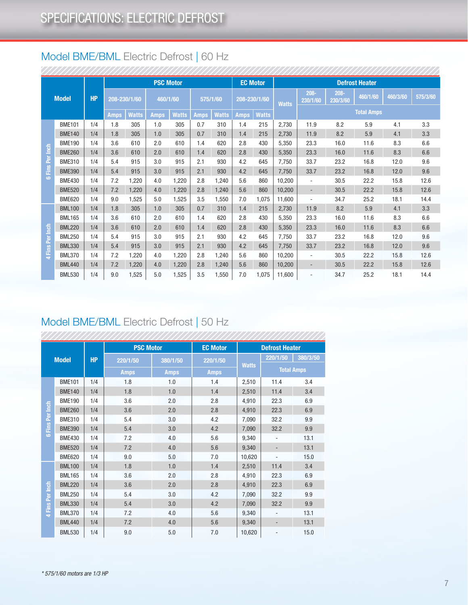### Model BME/BML Electric Defrost | 60 Hz

|                 |               |           |              |       | <b>PSC Motor</b> |       |             |              | <b>EC Motor</b> |              |              |                          |                     | <b>Defrost Heater</b> |          |          |
|-----------------|---------------|-----------|--------------|-------|------------------|-------|-------------|--------------|-----------------|--------------|--------------|--------------------------|---------------------|-----------------------|----------|----------|
|                 | <b>Model</b>  | <b>HP</b> | 208-230/1/60 |       | 460/1/60         |       |             | 575/1/60     | 208-230/1/60    |              | <b>Watts</b> | $208 -$<br>230/1/60      | $208 -$<br>230/3/60 | 460/1/60              | 460/3/60 | 575/3/60 |
|                 |               |           | <b>Amps</b>  | Watts | <b>Amps</b>      | Watts | <b>Amps</b> | <b>Watts</b> | <b>Amps</b>     | <b>Watts</b> |              |                          |                     | <b>Total Amps</b>     |          |          |
|                 | <b>BME101</b> | 1/4       | 1.8          | 305   | 1.0              | 305   | 0.7         | 310          | 1.4             | 215          | 2,730        | 11.9                     | 8.2                 | 5.9                   | 4.1      | 3.3      |
|                 | <b>BME140</b> | 1/4       | 1.8          | 305   | 1.0              | 305   | 0.7         | 310          | 1.4             | 215          | 2.730        | 11.9                     | 8.2                 | 5.9                   | 4.1      | 3.3      |
|                 | <b>BME190</b> | 1/4       | 3.6          | 610   | 2.0              | 610   | 1.4         | 620          | 2.8             | 430          | 5,350        | 23.3                     | 16.0                | 11.6                  | 8.3      | 6.6      |
| Fins Per Inch   | <b>BME260</b> | 1/4       | 3.6          | 610   | 2.0              | 610   | 1.4         | 620          | 2.8             | 430          | 5,350        | 23.3                     | 16.0                | 11.6                  | 8.3      | 6.6      |
|                 | <b>BME310</b> | 1/4       | 5.4          | 915   | 3.0              | 915   | 2.1         | 930          | 4.2             | 645          | 7.750        | 33.7                     | 23.2                | 16.8                  | 12.0     | 9.6      |
|                 | <b>BME390</b> | 1/4       | 5.4          | 915   | 3.0              | 915   | 2.1         | 930          | 4.2             | 645          | 7,750        | 33.7                     | 23.2                | 16.8                  | 12.0     | 9.6      |
| $\bullet$       | <b>BME430</b> | 1/4       | 7.2          | 1.220 | 4.0              | 1.220 | 2.8         | 1.240        | 5.6             | 860          | 10.200       | $\overline{a}$           | 30.5                | 22.2                  | 15.8     | 12.6     |
|                 | <b>BME520</b> | 1/4       | 7.2          | 1,220 | 4.0              | 1,220 | 2.8         | 1,240        | 5.6             | 860          | 10,200       | $\overline{\phantom{a}}$ | 30.5                | 22.2                  | 15.8     | 12.6     |
|                 | <b>BME620</b> | 1/4       | 9.0          | 1,525 | 5.0              | 1,525 | 3.5         | 1,550        | 7.0             | 1,075        | 11.600       | ٠                        | 34.7                | 25.2                  | 18.1     | 14.4     |
|                 | <b>BML100</b> | 1/4       | 1.8          | 305   | 1.0              | 305   | 0.7         | 310          | 1.4             | 215          | 2.730        | 11.9                     | 8.2                 | 5.9                   | 4.1      | 3.3      |
|                 | <b>BML165</b> | 1/4       | 3.6          | 610   | 2.0              | 610   | 1.4         | 620          | 2.8             | 430          | 5.350        | 23.3                     | 16.0                | 11.6                  | 8.3      | 6.6      |
|                 | <b>BML220</b> | 1/4       | 3.6          | 610   | 2.0              | 610   | 1.4         | 620          | 2.8             | 430          | 5.350        | 23.3                     | 16.0                | 11.6                  | 8.3      | 6.6      |
|                 | <b>BML250</b> | 1/4       | 5.4          | 915   | 3.0              | 915   | 2.1         | 930          | 4.2             | 645          | 7,750        | 33.7                     | 23.2                | 16.8                  | 12.0     | 9.6      |
| 4 Fins Per Inch | <b>BML330</b> | 1/4       | 5.4          | 915   | 3.0              | 915   | 2.1         | 930          | 4.2             | 645          | 7.750        | 33.7                     | 23.2                | 16.8                  | 12.0     | 9.6      |
|                 | <b>BML370</b> | 1/4       | 7.2          | 1.220 | 4.0              | 1.220 | 2.8         | 1.240        | 5.6             | 860          | 10.200       | ٠                        | 30.5                | 22.2                  | 15.8     | 12.6     |
|                 | <b>BML440</b> | 1/4       | 7.2          | 1,220 | 4.0              | 1,220 | 2.8         | 1,240        | 5.6             | 860          | 10,200       | $\overline{\phantom{a}}$ | 30.5                | 22.2                  | 15.8     | 12.6     |
|                 | <b>BML530</b> | 1/4       | 9.0          | 1,525 | 5.0              | 1,525 | 3.5         | 1,550        | 7.0             | 1,075        | 11,600       | $\overline{a}$           | 34.7                | 25.2                  | 18.1     | 14.4     |

### Model BME/BML Electric Defrost | 50 Hz

|                            |               |           | <b>PSC Motor</b> |             | <b>EC Motor</b> |              | <b>Defrost Heater</b>        |                   |
|----------------------------|---------------|-----------|------------------|-------------|-----------------|--------------|------------------------------|-------------------|
|                            | <b>Model</b>  | <b>HP</b> | 220/1/50         | 380/1/50    | 220/1/50        |              | 220/1/50                     | 380/3/50          |
|                            |               |           | <b>Amps</b>      | <b>Amps</b> | <b>Amps</b>     | <b>Watts</b> |                              | <b>Total Amps</b> |
|                            | <b>BME101</b> | 1/4       | 1.8              | 1.0         | 1.4             | 2,510        | 11.4                         | 3.4               |
|                            | <b>BME140</b> | 1/4       | 1.8              | 1.0         | 1.4             | 2,510        | 11.4                         | 3.4               |
|                            | <b>BME190</b> | 1/4       | 3.6              | 2.0         | 2.8             | 4,910        | 22.3                         | 6.9               |
|                            | <b>BME260</b> | 1/4       | 3.6              | 2.0         | 2.8             | 4,910        | 22.3                         | 6.9               |
|                            | <b>BME310</b> | 1/4       | 5.4              | 3.0         | 4.2             | 7,090        | 32.2                         | 9.9               |
| Fins Per Inch<br>$\bullet$ | <b>BME390</b> | 1/4       | 5.4              | 3.0         | 4.2             | 7,090        | 32.2                         | 9.9               |
|                            | <b>BME430</b> | 1/4       | 7.2              | 4.0         | 5.6             | 9,340        | ÷,                           | 13.1              |
|                            | <b>BME520</b> | 1/4       | 7.2              | 4.0         | 5.6             | 9,340        | $\overline{\phantom{0}}$     | 13.1              |
|                            | <b>BME620</b> | 1/4       | 9.0              | 5.0         | 7.0             | 10,620       | ÷,                           | 15.0              |
|                            | <b>BML100</b> | 1/4       | 1.8              | 1.0         | 1.4             | 2,510        | 11.4                         | 3.4               |
|                            | <b>BML165</b> | 1/4       | 3.6              | 2.0         | 2.8             | 4,910        | 22.3                         | 6.9               |
|                            | <b>BML220</b> | 1/4       | 3.6              | 2.0         | 2.8             | 4,910        | 22.3                         | 6.9               |
|                            | <b>BML250</b> | 1/4       | 5.4              | 3.0         | 4.2             | 7,090        | 32.2                         | 9.9               |
| 4 Fins Per Inch            | <b>BML330</b> | 1/4       | 5.4              | 3.0         | 4.2             | 7,090        | 32.2                         | 9.9               |
|                            | <b>BML370</b> | 1/4       | 7.2              | 4.0         | 5.6             | 9,340        | ÷,                           | 13.1              |
|                            | <b>BML440</b> | 1/4       | 7.2              | 4.0         | 5.6             | 9,340        | -                            | 13.1              |
|                            | <b>BML530</b> | 1/4       | 9.0              | 5.0         | 7.0             | 10,620       | $\qquad \qquad \blacksquare$ | 15.0              |

sonomonomonomonomonomonomonomo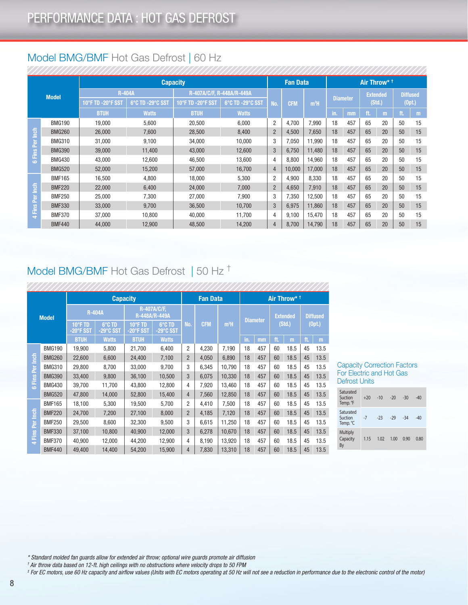### Model BMG/BMF Hot Gas Defrost | 60 Hz

|                        |               |                   |                  | <b>Capacity</b>   |                           |                | <b>Fan Data</b> |                  |     |                 |        | Air Throw* <sup>+</sup> |                 |    |
|------------------------|---------------|-------------------|------------------|-------------------|---------------------------|----------------|-----------------|------------------|-----|-----------------|--------|-------------------------|-----------------|----|
|                        | <b>Model</b>  |                   | <b>R-404A</b>    |                   | R-407A/C/F, R-448A/R-449A |                |                 |                  |     |                 |        | <b>Extended</b>         | <b>Diffused</b> |    |
|                        |               | 10°F TD -20°F SST | 6°C TD -29°C SST | 10°F TD -20°F SST | 6°C TD -29°C SST          | No.            | <b>CFM</b>      | m <sup>3</sup> H |     | <b>Diameter</b> | (Std.) |                         | (Opt.)          |    |
|                        |               | <b>BTUH</b>       | <b>Watts</b>     | <b>BTUH</b>       | <b>Watts</b>              |                |                 |                  | in. | mm              | ft.    | m                       | ft.             | m  |
|                        | <b>BMG190</b> | 19,000            | 5,600            | 20,500            | 6,000                     | 2              | 4,700           | 7,990            | 18  | 457             | 65     | 20                      | 50              | 15 |
|                        | <b>BMG260</b> | 26,000            | 7,600            | 28,500            | 8,400                     | $\overline{2}$ | 4,500           | 7.650            | 18  | 457             | 65     | 20                      | 50              | 15 |
| <b>6</b> Fins Per Inch | <b>BMG310</b> | 31,000            | 9,100            | 34,000            | 10,000                    | 3              | 7,050           | 11,990           | 18  | 457             | 65     | 20                      | 50              | 15 |
|                        | <b>BMG390</b> | 39,000            | 11.400           | 43.000            | 12,600                    | 3              | 6,750           | 11.480           | 18  | 457             | 65     | 20                      | 50              | 15 |
|                        | <b>BMG430</b> | 43,000            | 12,600           | 46.500            | 13,600                    | 4              | 8,800           | 14,960           | 18  | 457             | 65     | 20                      | 50              | 15 |
|                        | <b>BMG520</b> | 52,000            | 15.200           | 57,000            | 16,700                    | 4              | 10.000          | 17.000           | 18  | 457             | 65     | 20                      | 50              | 15 |
|                        | <b>BMF165</b> | 16,500            | 4,800            | 18,000            | 5,300                     | $\overline{2}$ | 4,900           | 8,330            | 18  | 457             | 65     | 20                      | 50              | 15 |
|                        | <b>BMF220</b> | 22,000            | 6.400            | 24,000            | 7,000                     | $\overline{2}$ | 4,650           | 7,910            | 18  | 457             | 65     | 20                      | 50              | 15 |
|                        | <b>BMF250</b> | 25,000            | 7,300            | 27,000            | 7,900                     | 3              | 7,350           | 12,500           | 18  | 457             | 65     | 20                      | 50              | 15 |
|                        | <b>BMF330</b> | 33,000            | 9,700            | 36,500            | 10,700                    | 3              | 6,975           | 11,860           | 18  | 457             | 65     | 20                      | 50              | 15 |
| 4 Fins Per Inch        | <b>BMF370</b> | 37,000            | 10,800           | 40.000            | 11,700                    | 4              | 9,100           | 15,470           | 18  | 457             | 65     | 20                      | 50              | 15 |
|                        | <b>BMF440</b> | 44,000            | 12,900           | 48,500            | 14,200                    | 4              | 8,700           | 14,790           | 18  | 457             | 65     | 20                      | 50              | 15 |

### Model BMG/BMF Hot Gas Defrost | 50 Hz †

,,,,,,,,,,,,,,,,,,,,,,,,,,,,,

|                               |               |                                | <b>Capacity</b>     |                      |                                     |                | <b>Fan Data</b> | Air Throw* <sup>+</sup> |                 |     |                 |      |                 |      |
|-------------------------------|---------------|--------------------------------|---------------------|----------------------|-------------------------------------|----------------|-----------------|-------------------------|-----------------|-----|-----------------|------|-----------------|------|
| <b>Model</b>                  |               |                                | <b>R-404A</b>       |                      | <b>R-407A/C/F.</b><br>R-448A/R-449A |                |                 |                         | <b>Diameter</b> |     | <b>Extended</b> |      | <b>Diffused</b> |      |
|                               |               | $10^{\circ}$ F TD<br>-20°F SST | 6°C TD<br>-29°C SST | 10°F TD<br>-20°F SST | 6°C TD<br>-29°C SST                 | No.            | <b>CFM</b>      | m <sup>3</sup> H        |                 |     | (Std.)          |      | (0pt.)          |      |
|                               |               | <b>BTUH</b>                    | <b>Watts</b>        | <b>BTUH</b>          | <b>Watts</b>                        |                |                 |                         | in.             | mm  | ft.             | m    | ft.             | m    |
| fe<br>Per <sub></sub><br>Fins | <b>BMG190</b> | 19,900                         | 5,800               | 21,700               | 6,400                               | 2              | 4,230           | 7,190                   | 18              | 457 | 60              | 18.5 | 45              | 13.5 |
|                               | <b>BMG260</b> | 22,600                         | 6,600               | 24.400               | 7,100                               | $\overline{2}$ | 4.050           | 6,890                   | 18              | 457 | 60              | 18.5 | 45              | 13.5 |
|                               | <b>BMG310</b> | 29,800                         | 8,700               | 33,000               | 9,700                               | 3              | 6,345           | 10,790                  | 18              | 457 | 60              | 18.5 | 45              | 13.5 |
|                               | <b>BMG390</b> | 33,400                         | 9,800               | 36,100               | 10,500                              | 3              | 6,075           | 10,330                  | 18              | 457 | 60              | 18.5 | 45              | 13.5 |
| $\epsilon$                    | <b>BMG430</b> | 39,700                         | 11,700              | 43,800               | 12,800                              | 4              | 7.920           | 13,460                  | 18              | 457 | 60              | 18.5 | 45              | 13.5 |
|                               | <b>BMG520</b> | 47,800                         | 14.000              | 52.800               | 15,400                              | 4              | 7.560           | 12,850                  | 18              | 457 | 60              | 18.5 | 45              | 13.5 |
|                               | <b>BMF165</b> | 18,100                         | 5,300               | 19,500               | 5,700                               | 2              | 4,410           | 7,500                   | 18              | 457 | 60              | 18.5 | 45              | 13.5 |
| fon                           | <b>BMF220</b> | 24,700                         | 7,200               | 27,100               | 8,000                               | $\overline{2}$ | 4,185           | 7,120                   | 18              | 457 | 60              | 18.5 | 45              | 13.5 |
| Per                           | <b>BMF250</b> | 29,500                         | 8,600               | 32,300               | 9,500                               | 3              | 6,615           | 11,250                  | 18              | 457 | 60              | 18.5 | 45              | 13.5 |
|                               | <b>BMF330</b> | 37,100                         | 10,800              | 40.900               | 12,000                              | 3              | 6,278           | 10.670                  | 18              | 457 | 60              | 18.5 | 45              | 13.5 |
| Fins<br>$\rightarrow$         | <b>BMF370</b> | 40,900                         | 12,000              | 44,200               | 12,900                              | 4              | 8,190           | 13,920                  | 18              | 457 | 60              | 18.5 | 45              | 13.5 |
|                               | <b>BMF440</b> | 49,400                         | 14,400              | 54,200               | 15,900                              | 4              | 7,830           | 13,310                  | 18              | 457 | 60              | 18.5 | 45              | 13.5 |

#### Capacity Correction Factors For Electric and Hot Gas Defrost Units

| Saturated<br>Suction<br>Temp. °F | $+20$ | $-10$ | $-20$ | $-30$ | $-40$ |
|----------------------------------|-------|-------|-------|-------|-------|
| Saturated<br>Suction<br>Temp. °C | $-7$  | $-23$ | $-29$ | $-34$ | $-40$ |
| Multiply<br>Capacity<br>By       | 1.15  | 1.02  | 1.00  | 0.90  | 0.80  |

*\* Standard molded fan guards allow for extended air throw; optional wire guards promote air diffusion*

*† Air throw data based on 12-ft. high ceilings with no obstructions where velocity drops to 50 FPM*

*‡ For EC motors, use 60 Hz capacity and airflow values (Units with EC motors operating at 50 Hz will not see a reduction in performance due to the electronic control of the motor)*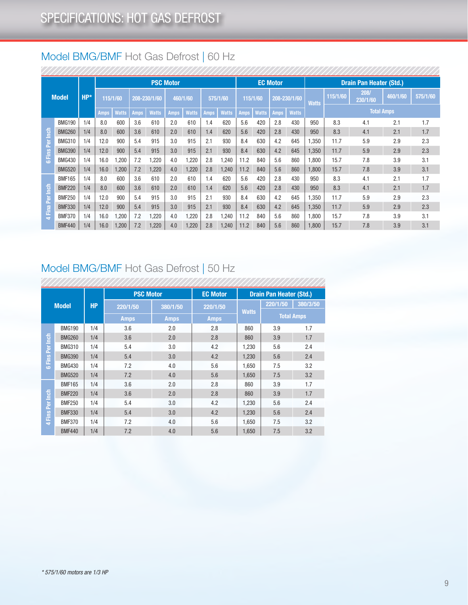### Model BMG/BMF Hot Gas Defrost | 60 Hz

|                        |               |       |             |              |             |              | <b>PSC Motor</b> |              |      |              |      |              | <b>EC Motor</b> |              |              |          | <b>Drain Pan Heater (Std.)</b> |          |          |
|------------------------|---------------|-------|-------------|--------------|-------------|--------------|------------------|--------------|------|--------------|------|--------------|-----------------|--------------|--------------|----------|--------------------------------|----------|----------|
|                        | <b>Model</b>  | $HP*$ |             | 115/1/60     |             | 208-230/1/60 | 460/1/60         |              |      | 575/1/60     |      | 115/1/60     |                 | 208-230/1/60 | <b>Watts</b> | 115/1/60 | 208/<br>230/1/60               | 460/1/60 | 575/1/60 |
|                        |               |       | <b>Amps</b> | <b>Watts</b> | <b>Amps</b> | <b>Watts</b> | <b>Amps</b>      | <b>Watts</b> | Amps | <b>Watts</b> | Amps | <b>Watts</b> | <b>Amps</b>     | <b>Watts</b> |              |          | <b>Total Amps</b>              |          |          |
|                        | <b>BMG190</b> | 1/4   | 8.0         | 600          | 3.6         | 610          | 2.0              | 610          | 1.4  | 620          | 5.6  | 420          | 2.8             | 430          | 950          | 8.3      | 4.1                            | 2.1      | 1.7      |
| ē<br><b>3 Fins Per</b> | <b>BMG260</b> | 1/4   | 8.0         | 600          | 3.6         | 610          | 2.0              | 610          | 1.4  | 620          | 5.6  | 420          | 2.8             | 430          | 950          | 8.3      | 4.1                            | 2.1      | 1.7      |
|                        | <b>BMG310</b> | 1/4   | 12.0        | 900          | 5.4         | 915          | 3.0              | 915          | 2.1  | 930          | 8.4  | 630          | 4.2             | 645          | 1,350        | 11.7     | 5.9                            | 2.9      | 2.3      |
|                        | <b>BMG390</b> | 1/4   | 12.0        | 900          | 5.4         | 915          | 3.0              | 915          | 2.1  | 930          | 8.4  | 630          | 4.2             | 645          | 1,350        | 11.7     | 5.9                            | 2.9      | 2.3      |
|                        | <b>BMG430</b> | 1/4   | 16.0        | ,200         | 7.2         | ,220         | 4.0              | ,220         | 2.8  | 1,240        | 11.2 | 840          | 5.6             | 860          | 1,800        | 15.7     | 7.8                            | 3.9      | 3.1      |
|                        | <b>BMG520</b> | 1/4   | 16.0        | 1,200        | 7.2         | 1.220        | 4.0              | 1,220        | 2.8  | 1,240        | 11.2 | 840          | 5.6             | 860          | 1.800        | 15.7     | 7.8                            | 3.9      | 3.1      |
|                        | <b>BMF165</b> | 1/4   | 8.0         | 600          | 3.6         | 610          | 2.0              | 610          | 1.4  | 620          | 5.6  | 420          | 2.8             | 430          | 950          | 8.3      | 4.1                            | 2.1      | 1.7      |
|                        | <b>BMF220</b> | 1/4   | 8.0         | 600          | 3.6         | 610          | 2.0              | 610          | 1.4  | 620          | 5.6  | 420          | 2.8             | 430          | 950          | 8.3      | 4.1                            | 2.1      | 1.7      |
| Per Inch               | <b>BMF250</b> | 1/4   | 12.0        | 900          | 5.4         | 915          | 3.0              | 915          | 2.1  | 930          | 8.4  | 630          | 4.2             | 645          | 1.350        | 11.7     | 5.9                            | 2.9      | 2.3      |
|                        | <b>BMF330</b> | 1/4   | 12.0        | 900          | 5.4         | 915          | 3.0              | 915          | 2.1  | 930          | 8.4  | 630          | 4.2             | 645          | 1.350        | 11.7     | 5.9                            | 2.9      | 2.3      |
| 4 Fina                 | <b>BMF370</b> | 1/4   | 16.0        | 1,200        | 7.2         | 1,220        | 4.0              | ,220         | 2.8  | 1,240        | 11.2 | 840          | 5.6             | 860          | 1,800        | 15.7     | 7.8                            | 3.9      | 3.1      |
|                        | <b>BMF440</b> | 1/4   | 16.0        | 1,200        | 7.2         | ,220         | 4.0              | 1,220        | 2.8  | 1,240        | 11.2 | 840          | 5.6             | 860          | 1,800        | 15.7     | 7.8                            | 3.9      | 3.1      |

### Model BMG/BMF Hot Gas Defrost | 50 Hz

|                 |               |           | <b>PSC Motor</b> |             | <b>EC Motor</b> | <b>Drain Pan Heater (Std.)</b> |                   |          |  |  |
|-----------------|---------------|-----------|------------------|-------------|-----------------|--------------------------------|-------------------|----------|--|--|
|                 | <b>Model</b>  | <b>HP</b> | 220/1/50         | 380/1/50    | 220/1/50        |                                | 220/1/50          | 380/3/50 |  |  |
|                 |               |           | <b>Amps</b>      | <b>Amps</b> | <b>Amps</b>     | <b>Watts</b>                   | <b>Total Amps</b> |          |  |  |
|                 | <b>BMG190</b> | 1/4       | 3.6              | 2.0         | 2.8             | 860                            | 3.9               | 1.7      |  |  |
| Fins Per Inch   | <b>BMG260</b> | 1/4       | 3.6              | 2.0         | 2.8             | 860                            | 3.9               | 1.7      |  |  |
|                 | <b>BMG310</b> | 1/4       | 5.4              | 3.0         | 4.2             | 1,230                          | 5.6               | 2.4      |  |  |
|                 | <b>BMG390</b> | 1/4       | 5.4              | 3.0         | 4.2             | 1,230                          | 5.6               | 2.4      |  |  |
| $\epsilon$      | <b>BMG430</b> | 1/4       | 7.2              | 4.0         | 5.6             | 1,650                          | 7.5               | 3.2      |  |  |
|                 | <b>BMG520</b> | 1/4       | 7.2              | 4.0         | 5.6             | 1,650                          | 7.5               | 3.2      |  |  |
|                 | <b>BMF165</b> | 1/4       | 3.6              | 2.0         | 2.8             | 860                            | 3.9               | 1.7      |  |  |
|                 | <b>BMF220</b> | 1/4       | 3.6              | 2.0         | 2.8             | 860                            | 3.9               | 1.7      |  |  |
|                 | <b>BMF250</b> | 1/4       | 5.4              | 3.0         | 4.2             | 1,230                          | 5.6               | 2.4      |  |  |
|                 | <b>BMF330</b> | 1/4       | 5.4              | 3.0         | 4.2             | 1,230                          | 5.6               | 2.4      |  |  |
| 4 Fins Per Inch | <b>BMF370</b> | 1/4       | 7.2              | 4.0         | 5.6             | 1,650                          | 7.5               | 3.2      |  |  |
|                 | <b>BMF440</b> | 1/4       | 7.2              | 4.0         | 5.6             | 1,650                          | 7.5               | 3.2      |  |  |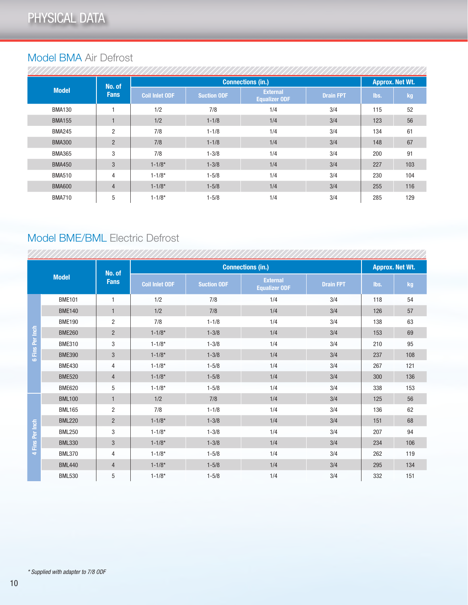### Model BMA Air Defrost

|               | No. of         |                       |                    | <b>Connections (in.)</b>                |                  | <b>Approx. Net Wt.</b> |     |  |
|---------------|----------------|-----------------------|--------------------|-----------------------------------------|------------------|------------------------|-----|--|
| <b>Model</b>  | <b>Fans</b>    | <b>Coil Inlet ODF</b> | <b>Suction ODF</b> | <b>External</b><br><b>Equalizer ODF</b> | <b>Drain FPT</b> | lbs.                   | kg  |  |
| <b>BMA130</b> |                | 1/2                   | 7/8                | 1/4                                     | 3/4              | 115                    | 52  |  |
| <b>BMA155</b> |                | 1/2                   | $1 - 1/8$          | 1/4                                     | 3/4              | 123                    | 56  |  |
| <b>BMA245</b> | $\overline{2}$ | 7/8                   | $1 - 1/8$          | 1/4                                     | 3/4              | 134                    | 61  |  |
| <b>BMA300</b> | $\overline{2}$ | 7/8                   | $1 - 1/8$          | 1/4                                     | 3/4              | 148                    | 67  |  |
| <b>BMA365</b> | 3              | 7/8                   | $1 - 3/8$          | 1/4                                     | 3/4              | 200                    | 91  |  |
| <b>BMA450</b> | 3              | $1 - 1/8*$            | $1 - 3/8$          | 1/4                                     | 3/4              | 227                    | 103 |  |
| <b>BMA510</b> | 4              | $1 - 1/8*$            | $1 - 5/8$          | 1/4                                     | 3/4              | 230                    | 104 |  |
| <b>BMA600</b> | $\overline{4}$ | $1 - 1/8*$            | $1 - 5/8$          | 1/4                                     | 3/4              | 255                    | 116 |  |
| <b>BMA710</b> | 5              | $1 - 1/8*$            | $1 - 5/8$          | 1/4                                     | 3/4              | 285                    | 129 |  |

### Model BME/BML Electric Defrost

,,,,,,,,,,,,,,,,,,,

|                 |               | No. of         |                       |                    | <b>Connections (in.)</b>                |                  | <b>Approx. Net Wt.</b> |     |  |
|-----------------|---------------|----------------|-----------------------|--------------------|-----------------------------------------|------------------|------------------------|-----|--|
|                 | <b>Model</b>  | <b>Fans</b>    | <b>Coil Inlet ODF</b> | <b>Suction ODF</b> | <b>External</b><br><b>Equalizer ODF</b> | <b>Drain FPT</b> | lbs.                   | kg  |  |
|                 | <b>BME101</b> | 1              | 1/2                   | 7/8                | 1/4                                     | 3/4              | 118                    | 54  |  |
|                 | <b>BME140</b> | $\mathbf{1}$   | 1/2                   | 7/8                | 1/4                                     | 3/4              | 126                    | 57  |  |
|                 | <b>BME190</b> | $\overline{c}$ | 7/8                   | $1 - 1/8$          | 1/4                                     | 3/4              | 138                    | 63  |  |
|                 | <b>BME260</b> | $\overline{2}$ | $1 - 1/8*$            | $1 - 3/8$          | 1/4                                     | 3/4              | 153                    | 69  |  |
| 6 Fins Per Inch | <b>BME310</b> | 3              | $1 - 1/8*$            | $1 - 3/8$          | 1/4                                     | 3/4              | 210                    | 95  |  |
|                 | <b>BME390</b> | 3              | $1 - 1/8*$            | $1 - 3/8$          | 1/4                                     | 3/4              | 237                    | 108 |  |
|                 | <b>BME430</b> | 4              | $1 - 1/8*$            | $1 - 5/8$          | 1/4                                     | 3/4              | 267                    | 121 |  |
|                 | <b>BME520</b> | $\overline{4}$ | $1 - 1/8*$            | $1 - 5/8$          | 1/4                                     | 3/4              | 300                    | 136 |  |
|                 | <b>BME620</b> | 5              | $1 - 1/8*$            | $1 - 5/8$          | 1/4                                     | 3/4              | 338                    | 153 |  |
|                 | <b>BML100</b> | $\mathbf{1}$   | 1/2                   | 7/8                | 1/4                                     | 3/4              | 125                    | 56  |  |
|                 | <b>BML165</b> | $\overline{2}$ | 7/8                   | $1 - 1/8$          | 1/4                                     | 3/4              | 136                    | 62  |  |
|                 | <b>BML220</b> | $\overline{2}$ | $1 - 1/8*$            | $1 - 3/8$          | 1/4                                     | 3/4              | 151                    | 68  |  |
|                 | <b>BML250</b> | 3              | $1 - 1/8*$            | $1 - 3/8$          | 1/4                                     | 3/4              | 207                    | 94  |  |
| Fins Per Inch   | <b>BML330</b> | $\mathfrak{S}$ | $1 - 1/8*$            | $1 - 3/8$          | 1/4                                     | 3/4              | 234                    | 106 |  |
|                 | <b>BML370</b> | 4              | $1 - 1/8*$            | $1 - 5/8$          | 1/4                                     | 3/4              | 262                    | 119 |  |
|                 | <b>BML440</b> | $\overline{4}$ | $1 - 1/8*$            | $1 - 5/8$          | 1/4                                     | 3/4              | 295                    | 134 |  |
|                 | <b>BML530</b> | 5              | $1 - 1/8*$            | $1 - 5/8$          | 1/4                                     | 3/4              | 332                    | 151 |  |

<del>mmmm</del>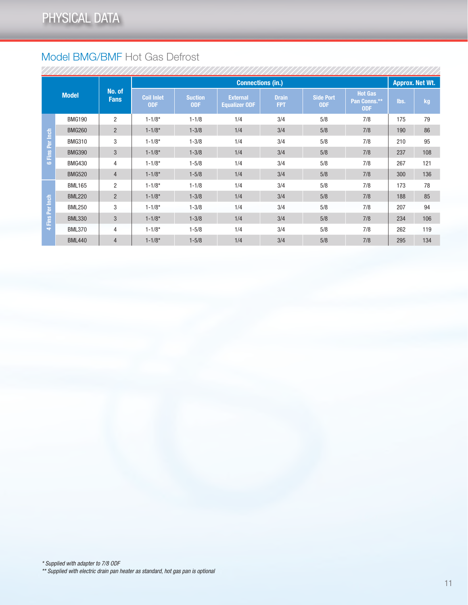### Model BMG/BMF Hot Gas Defrost

|                        |               |                       |                                 | <b>Connections (in.)</b>     |                                         |                            |                                |                                              |      |     |  |
|------------------------|---------------|-----------------------|---------------------------------|------------------------------|-----------------------------------------|----------------------------|--------------------------------|----------------------------------------------|------|-----|--|
|                        | <b>Model</b>  | No. of<br><b>Fans</b> | <b>Coil Inlet</b><br><b>ODF</b> | <b>Suction</b><br><b>ODF</b> | <b>External</b><br><b>Equalizer ODF</b> | <b>Drain</b><br><b>FPT</b> | <b>Side Port</b><br><b>ODF</b> | <b>Hot Gas</b><br>Pan Conns.**<br><b>ODF</b> | lbs. | kg  |  |
|                        | <b>BMG190</b> | $\overline{2}$        | $1 - 1/8*$                      | $1 - 1/8$                    | 1/4                                     | 3/4                        | 5/8                            | 7/8                                          | 175  | 79  |  |
| <b>6 Fins Per Inch</b> | <b>BMG260</b> | $\overline{2}$        | $1 - 1/8*$                      | $1 - 3/8$                    | 1/4                                     | 3/4                        | 5/8                            | 7/8                                          | 190  | 86  |  |
|                        | <b>BMG310</b> | 3                     | $1 - 1/8*$                      | $1 - 3/8$                    | 1/4                                     | 3/4                        | 5/8                            | 7/8                                          | 210  | 95  |  |
|                        | <b>BMG390</b> | 3                     | $1 - 1/8*$                      | $1 - 3/8$                    | 1/4                                     | 3/4                        | 5/8                            | 7/8                                          | 237  | 108 |  |
|                        | <b>BMG430</b> | 4                     | $1 - 1/8*$                      | $1 - 5/8$                    | 1/4                                     | 3/4                        | 5/8                            | 7/8                                          | 267  | 121 |  |
|                        | <b>BMG520</b> | $\overline{4}$        | $1 - 1/8*$                      | $1 - 5/8$                    | 1/4                                     | 3/4                        | 5/8                            | 7/8                                          | 300  | 136 |  |
|                        | <b>BML165</b> | $\overline{2}$        | $1 - 1/8*$                      | $1 - 1/8$                    | 1/4                                     | 3/4                        | 5/8                            | 7/8                                          | 173  | 78  |  |
|                        | <b>BML220</b> | $\overline{2}$        | $1 - 1/8*$                      | $1 - 3/8$                    | 1/4                                     | 3/4                        | 5/8                            | 7/8                                          | 188  | 85  |  |
|                        | <b>BML250</b> | 3                     | $1 - 1/8*$                      | $1 - 3/8$                    | 1/4                                     | 3/4                        | 5/8                            | 7/8                                          | 207  | 94  |  |
| 4 Fins Per Inch        | <b>BML330</b> | 3                     | $1 - 1/8*$                      | $1 - 3/8$                    | 1/4                                     | 3/4                        | 5/8                            | 7/8                                          | 234  | 106 |  |
|                        | <b>BML370</b> | 4                     | $1 - 1/8*$                      | $1 - 5/8$                    | 1/4                                     | 3/4                        | 5/8                            | 7/8                                          | 262  | 119 |  |
|                        | <b>BML440</b> | $\overline{4}$        | $1 - 1/8*$                      | $1 - 5/8$                    | 1/4                                     | 3/4                        | 5/8                            | 7/8                                          | 295  | 134 |  |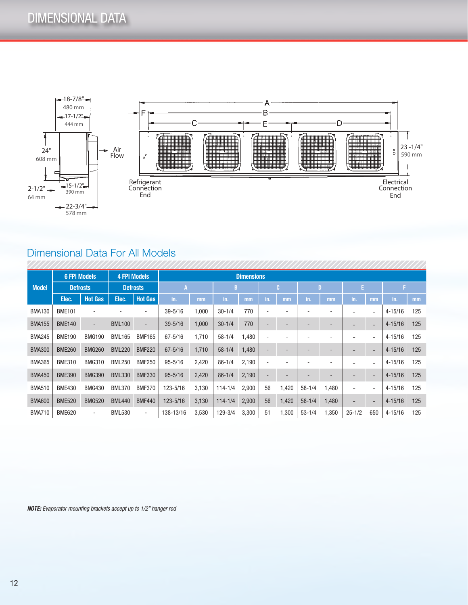

### Dimensional Data For All Models

|               | <b>6 FPI Models</b> |                          |                 | <b>4 FPI Models</b>      | <b>Dimensions</b> |       |             |       |     |                          |            |       |            |                          |             |     |
|---------------|---------------------|--------------------------|-----------------|--------------------------|-------------------|-------|-------------|-------|-----|--------------------------|------------|-------|------------|--------------------------|-------------|-----|
| <b>Model</b>  | <b>Defrosts</b>     |                          | <b>Defrosts</b> |                          | A                 |       |             | В     |     | C.                       |            | D     | E.         |                          |             |     |
|               | Elec.               | <b>Hot Gas</b>           | Elec.           | <b>Hot Gas</b>           | in.               | mm    | in.         | mm    | in. | mm                       | in.        | mm    | in.        | mm                       | in.         | mm  |
| <b>BMA130</b> | <b>BME101</b>       | ۰                        |                 | ۰                        | $39 - 5/16$       | 1,000 | $30 - 1/4$  | 770   |     |                          |            |       |            |                          | $4 - 15/16$ | 125 |
| <b>BMA155</b> | <b>BME140</b>       | $\overline{\phantom{a}}$ | <b>BML100</b>   | $\overline{\phantom{a}}$ | $39 - 5/16$       | 1,000 | $30 - 1/4$  | 770   |     |                          |            |       |            |                          | $4 - 15/16$ | 125 |
| <b>BMA245</b> | <b>BME190</b>       | <b>BMG190</b>            | <b>BML165</b>   | <b>BMF165</b>            | $67 - 5/16$       | 1,710 | $58 - 1/4$  | 1,480 |     |                          |            |       |            |                          | $4 - 15/16$ | 125 |
| <b>BMA300</b> | <b>BME260</b>       | <b>BMG260</b>            | <b>BML220</b>   | <b>BMF220</b>            | $67 - 5/16$       | 1,710 | $58 - 1/4$  | 1,480 | -   |                          |            |       |            | $\overline{\phantom{0}}$ | $4 - 15/16$ | 125 |
| <b>BMA365</b> | <b>BME310</b>       | <b>BMG310</b>            | <b>BML250</b>   | <b>BMF250</b>            | $95 - 5/16$       | 2,420 | $86 - 1/4$  | 2,190 |     |                          |            |       |            |                          | $4 - 15/16$ | 125 |
| <b>BMA450</b> | <b>BME390</b>       | <b>BMG390</b>            | <b>BML330</b>   | <b>BMF330</b>            | $95 - 5/16$       | 2,420 | $86 - 1/4$  | 2,190 | ٠   | $\overline{\phantom{a}}$ |            |       |            |                          | $4 - 15/16$ | 125 |
| <b>BMA510</b> | <b>BME430</b>       | <b>BMG430</b>            | <b>BML370</b>   | <b>BMF370</b>            | 123-5/16          | 3,130 | $114 - 1/4$ | 2,900 | 56  | 1,420                    | $58 - 1/4$ | 1,480 |            |                          | $4 - 15/16$ | 125 |
| <b>BMA600</b> | <b>BME520</b>       | <b>BMG520</b>            | <b>BML440</b>   | <b>BMF440</b>            | 123-5/16          | 3,130 | $114 - 1/4$ | 2,900 | 56  | 1,420                    | $58 - 1/4$ | 1,480 |            |                          | $4 - 15/16$ | 125 |
| <b>BMA710</b> | <b>BME620</b>       | $\overline{\phantom{a}}$ | <b>BML530</b>   | $\sim$                   | 138-13/16         | 3,530 | 129-3/4     | 3,300 | 51  | 1,300                    | $53 - 1/4$ | 1,350 | $25 - 1/2$ | 650                      | $4 - 15/16$ | 125 |

*NOTE: Evaporator mounting brackets accept up to 1/2" hanger rod*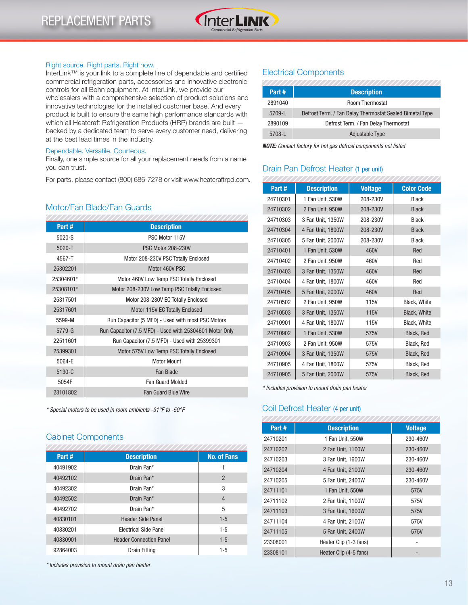

#### Right source. Right parts. Right now.

InterLink™ is your link to a complete line of dependable and certified commercial refrigeration parts, accessories and innovative electronic controls for all Bohn equipment. At InterLink, we provide our wholesalers with a comprehensive selection of product solutions and innovative technologies for the installed customer base. And every product is built to ensure the same high performance standards with which all Heatcraft Refrigeration Products (HRP) brands are built backed by a dedicated team to serve every customer need, delivering at the best lead times in the industry.

#### Dependable. Versatile. Courteous.

Finally, one simple source for all your replacement needs from a name you can trust.

For parts, please contact (800) 686-7278 or visit www.heatcraftrpd.com.

#### Motor/Fan Blade/Fan Guards

| Part#      | <b>Description</b>                                      |
|------------|---------------------------------------------------------|
| $5020-S$   | PSC Motor 115V                                          |
| $5020 - T$ | <b>PSC Motor 208-230V</b>                               |
| 4567-T     | Motor 208-230V PSC Totally Enclosed                     |
| 25302201   | Motor 460V PSC                                          |
| 25304601*  | Motor 460V Low Temp PSC Totally Enclosed                |
| 25308101*  | Motor 208-230V Low Temp PSC Totally Enclosed            |
| 25317501   | Motor 208-230V EC Totally Enclosed                      |
| 25317601   | Motor 115V EC Totally Enclosed                          |
| 5599-M     | Run Capacitor (5 MFD) - Used with most PSC Motors       |
| $5779 - G$ | Run Capacitor (7.5 MFD) - Used with 25304601 Motor Only |
| 22511601   | Run Capacitor (7.5 MFD) - Used with 25399301            |
| 25399301   | Motor 575V Low Temp PSC Totally Enclosed                |
| 5064-E     | Motor Mount                                             |
| 5130-C     | Fan Blade                                               |
| 5054F      | <b>Fan Guard Molded</b>                                 |
| 23101802   | <b>Fan Guard Blue Wire</b>                              |

*\* Special motors to be used in room ambients -31°F to -50°F*

#### Cabinet Components

| Part#    | <b>Description</b>             | <b>No. of Fans</b> |
|----------|--------------------------------|--------------------|
| 40491902 | Drain Pan*                     |                    |
| 40492102 | Drain Pan*                     | $\overline{2}$     |
| 40492302 | Drain Pan*                     | 3                  |
| 40492502 | Drain Pan*                     | 4                  |
| 40492702 | Drain Pan*                     | 5                  |
| 40830101 | <b>Header Side Panel</b>       | $1 - 5$            |
| 40830201 | <b>Electrical Side Panel</b>   | $1 - 5$            |
| 40830901 | <b>Header Connection Panel</b> | $1 - 5$            |
| 92864003 | Drain Fitting                  | $1-5$              |

*\* Includes provision to mount drain pan heater*

#### Electrical Components

|         | ,,,,,,,,,,,,,,,,,,,,,,,,,                                |
|---------|----------------------------------------------------------|
| Part#   | <b>Description</b>                                       |
| 2891040 | <b>Room Thermostat</b>                                   |
| 5709-L  | Defrost Term. / Fan Delay Thermostat Sealed Bimetal Type |
| 2890109 | Defrost Term. / Fan Delay Thermostat                     |
| 5708-L  | <b>Adjustable Type</b>                                   |

*NOTE: Contact factory for hot gas defrost components not listed*

#### Drain Pan Defrost Heater (1 per unit)

| Part#    | <b>Description</b> | <b>Voltage</b> | <b>Color Code</b> |
|----------|--------------------|----------------|-------------------|
| 24710301 | 1 Fan Unit, 530W   | 208-230V       | <b>Black</b>      |
| 24710302 | 2 Fan Unit, 950W   | 208-230V       | <b>Black</b>      |
| 24710303 | 3 Fan Unit, 1350W  | 208-230V       | <b>Black</b>      |
| 24710304 | 4 Fan Unit, 1800W  | 208-230V       | <b>Black</b>      |
| 24710305 | 5 Fan Unit, 2000W  | 208-230V       | <b>Black</b>      |
| 24710401 | 1 Fan Unit, 530W   | 460V           | Red               |
| 24710402 | 2 Fan Unit, 950W   | 460V           | Red               |
| 24710403 | 3 Fan Unit, 1350W  | 460V           | Red               |
| 24710404 | 4 Fan Unit, 1800W  | 460V           | Red               |
| 24710405 | 5 Fan Unit, 2000W  | 460V           | Red               |
| 24710502 | 2 Fan Unit, 950W   | 115V           | Black, White      |
| 24710503 | 3 Fan Unit, 1350W  | 115V           | Black, White      |
| 24710901 | 4 Fan Unit, 1800W  | 115V           | Black, White      |
| 24710902 | 1 Fan Unit, 530W   | 575V           | Black, Red        |
| 24710903 | 2 Fan Unit, 950W   | 575V           | Black, Red        |
| 24710904 | 3 Fan Unit, 1350W  | 575V           | Black, Red        |
| 24710905 | 4 Fan Unit, 1800W  | 575V           | Black, Red        |
| 24710905 | 5 Fan Unit, 2000W  | 575V           | <b>Black, Red</b> |

*\* Includes provision to mount drain pan heater*

#### Coil Defrost Heater (4 per unit)

| Part#    | <b>Description</b>     | <b>Voltage</b> |
|----------|------------------------|----------------|
| 24710201 | 1 Fan Unit, 550W       | 230-460V       |
| 24710202 | 2 Fan Unit, 1100W      | 230-460V       |
| 24710203 | 3 Fan Unit, 1600W      | 230-460V       |
| 24710204 | 4 Fan Unit, 2100W      | 230-460V       |
| 24710205 | 5 Fan Unit, 2400W      | 230-460V       |
| 24711101 | 1 Fan Unit, 550W       | 575V           |
| 24711102 | 2 Fan Unit, 1100W      | 575V           |
| 24711103 | 3 Fan Unit, 1600W      | 575V           |
| 24711104 | 4 Fan Unit, 2100W      | 575V           |
| 24711105 | 5 Fan Unit, 2400W      | 575V           |
| 23308001 | Heater Clip (1-3 fans) |                |
| 23308101 | Heater Clip (4-5 fans) |                |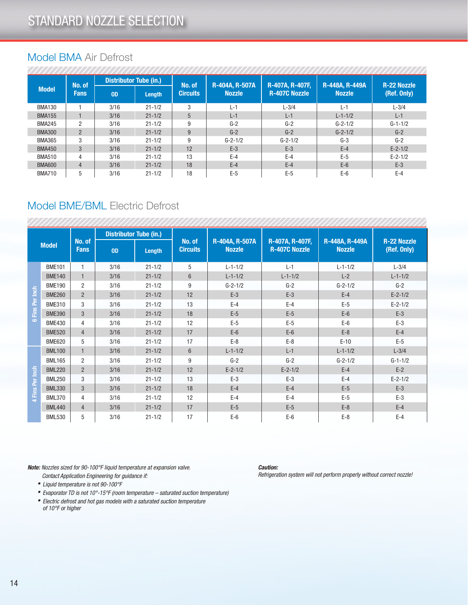#### Model BMA Air Defrost

| <b>Model</b>  | No. of<br><b>Fans</b> | <b>Distributor Tube (in.)</b> |            | No. of          | R-404A, R-507A | <b>R-407A, R-407F,</b> | R-448A, R-449A | <b>R-22 Nozzle</b> |
|---------------|-----------------------|-------------------------------|------------|-----------------|----------------|------------------------|----------------|--------------------|
|               |                       | 0 <sub>D</sub>                | Length     | <b>Circuits</b> | <b>Nozzle</b>  | <b>R-407C Nozzle</b>   | <b>Nozzle</b>  | (Ref. Only)        |
| <b>BMA130</b> |                       | 3/16                          | $21 - 1/2$ | 3               | $L-1$          | $L-3/4$                | $L-1$          | $L - 3/4$          |
| <b>BMA155</b> |                       | 3/16                          | $21 - 1/2$ | 5               | $L-1$          | $L-1$                  | $L - 1 - 1/2$  | $L-1$              |
| <b>BMA245</b> | 2                     | 3/16                          | $21 - 1/2$ | 9               | $G-2$          | $G-2$                  | $G - 2 - 1/2$  | $G-1-1/2$          |
| <b>BMA300</b> | $\overline{2}$        | 3/16                          | $21 - 1/2$ | 9               | $G-2$          | $G-2$                  | $G - 2 - 1/2$  | $G-2$              |
| <b>BMA365</b> | 3                     | 3/16                          | $21 - 1/2$ | 9               | $G - 2 - 1/2$  | $G - 2 - 1/2$          | $G-3$          | $G-2$              |
| <b>BMA450</b> | 3                     | 3/16                          | $21 - 1/2$ | 12              | $E-3$          | $E-3$                  | $E-4$          | $E - 2 - 1/2$      |
| <b>BMA510</b> | 4                     | 3/16                          | $21 - 1/2$ | 13              | $E-4$          | $E-4$                  | $E-5$          | $E - 2 - 1/2$      |
| <b>BMA600</b> | $\overline{4}$        | 3/16                          | $21 - 1/2$ | 18              | $E-4$          | $E-4$                  | $E-6$          | $E-3$              |
| <b>BMA710</b> | 5                     | 3/16                          | $21 - 1/2$ | 18              | $E-5$          | $E-5$                  | $E-6$          | $E-4$              |

#### Model BME/BML Electric Defrost

| <b>Model</b>       |               | No. of<br><b>Fans</b> | <b>Distributor Tube (in.)</b> |            |                           |                                 |                                         |                                 |                                   |
|--------------------|---------------|-----------------------|-------------------------------|------------|---------------------------|---------------------------------|-----------------------------------------|---------------------------------|-----------------------------------|
|                    |               |                       | 0 <sub>D</sub>                | Length     | No. of<br><b>Circuits</b> | R-404A, R-507A<br><b>Nozzle</b> | R-407A, R-407F,<br><b>R-407C Nozzle</b> | R-448A, R-449A<br><b>Nozzle</b> | <b>R-22 Nozzle</b><br>(Ref. Only) |
| Fins Per Inch<br>ه | <b>BME101</b> | $\mathbf{1}$          | 3/16                          | $21 - 1/2$ | 5                         | $L - 1 - 1/2$                   | $L-1$                                   | $L - 1 - 1/2$                   | $L-3/4$                           |
|                    | <b>BME140</b> | $\mathbf{1}$          | 3/16                          | $21 - 1/2$ | $6\phantom{1}$            | $L - 1 - 1/2$                   | $L - 1 - 1/2$                           | $L-2$                           | $L - 1 - 1/2$                     |
|                    | <b>BME190</b> | $\overline{2}$        | 3/16                          | $21 - 1/2$ | 9                         | $G - 2 - 1/2$                   | $G-2$                                   | $G - 2 - 1/2$                   | $G-2$                             |
|                    | <b>BME260</b> | $\overline{2}$        | 3/16                          | $21 - 1/2$ | 12                        | $E-3$                           | $E-3$                                   | $E-4$                           | $E - 2 - 1/2$                     |
|                    | <b>BME310</b> | 3                     | 3/16                          | $21 - 1/2$ | 13                        | $E-4$                           | $E-4$                                   | $E-5$                           | $E-2-1/2$                         |
|                    | <b>BME390</b> | 3                     | 3/16                          | $21 - 1/2$ | 18                        | $E-5$                           | $E-5$                                   | $E-6$                           | $E-3$                             |
|                    | <b>BME430</b> | 4                     | 3/16                          | $21 - 1/2$ | 12                        | $E-5$                           | $E-5$                                   | $E-6$                           | $E-3$                             |
|                    | <b>BME520</b> | $\overline{4}$        | 3/16                          | $21 - 1/2$ | 17                        | $E-6$                           | $E-6$                                   | $E-8$                           | $E-4$                             |
|                    | <b>BME620</b> | 5                     | 3/16                          | $21 - 1/2$ | 17                        | $E-8$                           | $E-8$                                   | $E-10$                          | $E-5$                             |
|                    | <b>BML100</b> | $\mathbf{1}$          | 3/16                          | $21 - 1/2$ | $6\phantom{1}$            | $L - 1 - 1/2$                   | $L-1$                                   | $L - 1 - 1/2$                   | $L-3/4$                           |
|                    | <b>BML165</b> | $\overline{2}$        | 3/16                          | $21 - 1/2$ | 9                         | $G-2$                           | $G-2$                                   | $G - 2 - 1/2$                   | $G-1-1/2$                         |
| 4 Fins Per Inch    | <b>BML220</b> | $\overline{2}$        | 3/16                          | $21 - 1/2$ | 12                        | $E - 2 - 1/2$                   | $E - 2 - 1/2$                           | $E-4$                           | $E-2$                             |
|                    | <b>BML250</b> | 3                     | 3/16                          | $21 - 1/2$ | 13                        | $E-3$                           | $E-3$                                   | $E-4$                           | $E - 2 - 1/2$                     |
|                    | <b>BML330</b> | 3                     | 3/16                          | $21 - 1/2$ | 18                        | $E-4$                           | $E-4$                                   | $E-5$                           | $E-3$                             |
|                    | <b>BML370</b> | 4                     | 3/16                          | $21 - 1/2$ | 12                        | $E-4$                           | $E-4$                                   | $E-5$                           | $E-3$                             |
|                    | <b>BML440</b> | $\overline{4}$        | 3/16                          | $21 - 1/2$ | 17                        | $E-5$                           | $E-5$                                   | $E-8$                           | $E-4$                             |
|                    | <b>BML530</b> | 5                     | 3/16                          | $21 - 1/2$ | 17                        | $E-6$                           | $E-6$                                   | $E-8$                           | $E-4$                             |

*Note: Nozzles sized for 90-100°F liquid temperature at expansion valve.*

*Caution:*

*Refrigeration system will not perform properly without correct nozzle!*

- *Contact Application Engineering for guidance if: • Liquid temperature is not 90-100°F*
- *Evaporator TD is not 10°-15°F (room temperature saturated suction temperature)*
- *• Electric defrost and hot gas models with a saturated suction temperature of 10°F or higher*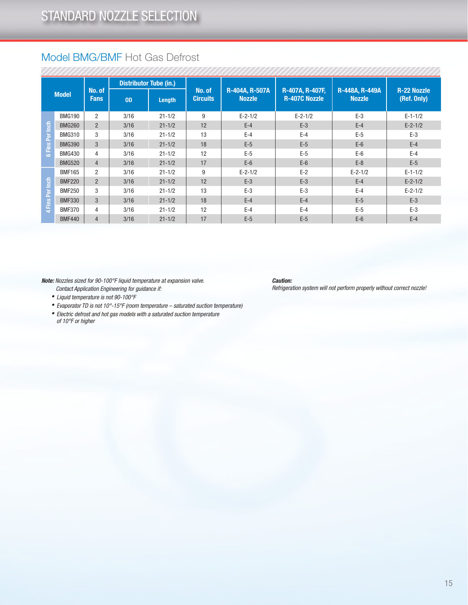### Model BMG/BMF Hot Gas Defrost

| <b>Model</b>           |               | No. of<br><b>Fans</b> | <b>Distributor Tube (in.)</b> |            |                           |                                 |                                         |                                 |                                   |
|------------------------|---------------|-----------------------|-------------------------------|------------|---------------------------|---------------------------------|-----------------------------------------|---------------------------------|-----------------------------------|
|                        |               |                       | 0 <sub>D</sub>                | Length     | No. of<br><b>Circuits</b> | R-404A, R-507A<br><b>Nozzle</b> | R-407A, R-407F,<br><b>R-407C Nozzle</b> | R-448A, R-449A<br><b>Nozzle</b> | <b>R-22 Nozzle</b><br>(Ref. Only) |
| <b>S Fins Per Inch</b> | <b>BMG190</b> | 2                     | 3/16                          | $21 - 1/2$ | 9                         | $E - 2 - 1/2$                   | $E - 2 - 1/2$                           | $E-3$                           | $E - 1 - 1/2$                     |
|                        | <b>BMG260</b> | $\overline{2}$        | 3/16                          | $21 - 1/2$ | 12                        | $E-4$                           | $E-3$                                   | $E-4$                           | $E - 2 - 1/2$                     |
|                        | <b>BMG310</b> | 3                     | 3/16                          | $21 - 1/2$ | 13                        | $E-4$                           | $E-4$                                   | $E-5$                           | $E-3$                             |
|                        | <b>BMG390</b> | 3                     | 3/16                          | $21 - 1/2$ | 18                        | $E-5$                           | $E-5$                                   | $E-6$                           | $E-4$                             |
|                        | <b>BMG430</b> | 4                     | 3/16                          | $21 - 1/2$ | 12                        | $E-5$                           | $E-5$                                   | $E-6$                           | $E-4$                             |
|                        | <b>BMG520</b> | $\overline{4}$        | 3/16                          | $21 - 1/2$ | 17                        | $E-6$                           | $E-6$                                   | $E-8$                           | $E-5$                             |
| 4 Fins Per Inch        | <b>BMF165</b> | $\overline{2}$        | 3/16                          | $21 - 1/2$ | 9                         | $E - 2 - 1/2$                   | $E-2$                                   | $E - 2 - 1/2$                   | $E - 1 - 1/2$                     |
|                        | <b>BMF220</b> | $\overline{2}$        | 3/16                          | $21 - 1/2$ | 12                        | $E-3$                           | $E-3$                                   | $E-4$                           | $E - 2 - 1/2$                     |
|                        | <b>BMF250</b> | 3                     | 3/16                          | $21 - 1/2$ | 13                        | $E-3$                           | $E-3$                                   | $E-4$                           | $E - 2 - 1/2$                     |
|                        | <b>BMF330</b> | 3                     | 3/16                          | $21 - 1/2$ | 18                        | $E-4$                           | $E-4$                                   | $E-5$                           | $E-3$                             |
|                        | <b>BMF370</b> | 4                     | 3/16                          | $21 - 1/2$ | 12                        | $E-4$                           | $E-4$                                   | $E-5$                           | $E-3$                             |
|                        | <b>BMF440</b> | $\overline{4}$        | 3/16                          | $21 - 1/2$ | 17                        | $E-5$                           | $E-5$                                   | $E-6$                           | $E-4$                             |

*Note: Nozzles sized for 90-100°F liquid temperature at expansion valve.*

*Caution:*

*Refrigeration system will not perform properly without correct nozzle!*

- *Contact Application Engineering for guidance if: • Liquid temperature is not 90-100°F*
- *Evaporator TD is not 10°-15°F (room temperature saturated suction temperature)*
- *• Electric defrost and hot gas models with a saturated suction temperature of 10°F or higher*